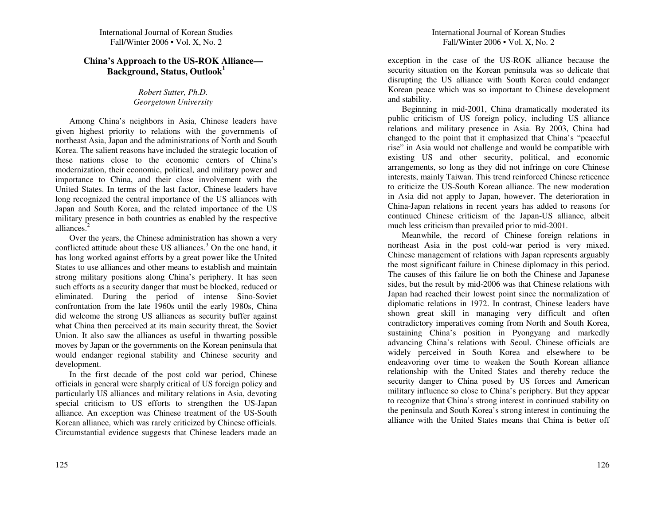# **China's Approach to the US-ROK Alliance— B ack gro u n d, Status, O utlo o k1**

# *Robert Sutter, P h.D. Georgetow nUniversity*

A mong C hina's neigh bors in Asia, C hinese leaders have given highest priority to relations with the govern ments of northeast Asia, Japan an d the ad ministrations of North an d South Korea. T he salient reasons have inclu ded the strategic location of these nations close to the economic centers of China's modernization, their economic, political, an d military power an d importance to C hina, an d their close in volvement with the United States. In terms of the last factor, Chinese leaders have long recognized the central importance of the U S alliances with Japan and South Korea, and the related importance of the US military presence in both cou ntries as enabled b y the respective alliances.<sup>2</sup>

O ver the years, the C hinese ad ministration has show n <sup>a</sup> very conflicted attitude about these US alliances.<sup>3</sup> On the one hand, it has long worked against efforts b y <sup>a</sup> grea<sup>t</sup> power like the U nited States to use alliances an d other means to establish an d maintain strong military positions along C hina's perip hery. It has seen such efforts as <sup>a</sup> security danger that <sup>m</sup> ust be blocked, red uced or eliminated. D uring the period of intense Sino-Soviet confrontation from the late 1960s <sup>u</sup> ntil the early 1980s, C hina did welcome the strong US alliances as security buffer against what C hina then perceived at its main security threat, the Soviet Union. It also saw the alliances as useful in th warting possible moves b y Japan or the govern ments on the Korean peninsula that would en danger regional stability an d Chinese security an d develop ment.

In the first decade of the pos<sup>t</sup> cold war period, C hinese officials in general were sharply critical of U S foreign policy an d particularly US alliances an d military relations in Asia, devoting special criticism to U S efforts to strengthen the U S-Japan alliance. An exception was C hinese treatment of the US-South Korean alliance, which was rarely criticized by Chinese officials. Circu mstantial evidence suggests that C hinese leaders made an exception in the case of the U S-R O K alliance because the security situation on the Korean peninsula was so delicate that disru pting the U S alliance with South Korea could en danger Korean peace <sup>w</sup> hich was so important to C hinese develop ment an d stability.

Begin ning in mid-2001, C hina dramatically moderated its p u blic criticism of U S foreign policy, inclu ding U S alliance relations an d military presence in Asia. B y 2 0 03, C hina had changed to the point that it emp hasized that C hina's "peaceful rise" in Asia would not challenge and would be compatible with existing U S an d other security, political, an d economic arrangements, so long as they did not infringe on core C hinese interests, mainly Taiwan. This trend reinforced Chinese reticence to criticize the US-South Korean alliance. The newmoderation in Asia did not ap ply to Japan, however. T he deterioration in China-Japan relations in recent years has ad ded to reasons for contin ued C hinese criticism of the Japan-U S alliance, albeit much less criticism than prevailed prior to mid-2001.

Mean w hile, the record of C hinese foreign relations in northeast Asia in the pos<sup>t</sup> cold-war period is very mixed. Chinese managemen<sup>t</sup> of relations with Japan represents arguably the most significant failure in C hinese diplomacy in this period. T he causes of this failure lie on both the C hinese an d Japanese sides, b ut the result b y mid-2 0 06 was that C hinese relations with Japan had reached their lowest point since the normalization of diplomatic relations in 1972. In contrast, C hinese leaders have shown grea<sup>t</sup> skill in managing very difficult and often contradictory imperatives coming from North an d South Korea, sustaining C hina's position in P yongyang an d markedly ad vancing C hina's relations with Seoul. C hinese officials are widely perceived in South Korea an d elsewhere to be en deavoring over time to weaken the South Korean alliance relationship with the United States and thereby reduce the security danger to C hina posed b y U S forces an d A merican military influence so close to C hina's perip hery. B ut they ap pear to recognize that C hina's strong interest in contin ued stability on the peninsula an d South Korea's strong interest in contin uing the alliance with the United States means that China is better off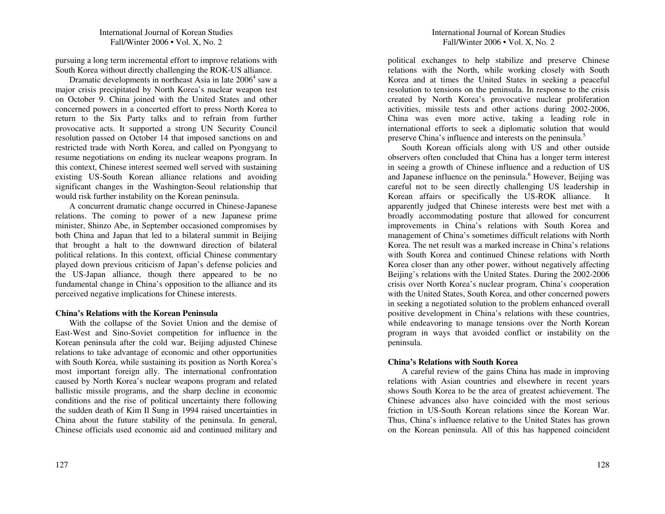pursuing <sup>a</sup> long term incremental effort to improve relations with South Korea without directly challenging the ROK-US alliance.

Dramatic developments in northeast Asia in late 2006<sup>4</sup> saw a major crisis precipitated by North Korea's nuclear weapon test on October 9. China joined with the United States and other concerned powers in <sup>a</sup> concerted effort to press North Korea to return to the Six Party talks and to refrain from further provocative acts. It supported <sup>a</sup> strong UN Security Council resolution passed on October 14 that imposed sanctions on and restricted trade with North Korea, and called on Pyongyang to resume negotiations on ending its nuclear weapons program. In this context, Chinese interest seemed well served with sustaining existing US-South Korean alliance relations and avoiding significant changes in the Washington-Seoul relationship that would risk further instability on the Korean peninsula.

A concurrent dramatic change occurred in Chinese-Japanese relations. The coming to power of <sup>a</sup> new Japanese prime minister, Shinzo Abe, in September occasioned compromises by both China and Japan that led to <sup>a</sup> bilateral summit in Beijing that brought <sup>a</sup> halt to the downward direction of bilateral political relations. In this context, official Chinese commentary played down previous criticism of Japan's defense policies and the US-Japan alliance, though there appeared to be no fundamental change in China's opposition to the alliance and its perceived negative implications for Chinese interests.

#### **China's Relations with the Korean Peninsula**

With the collapse of the Soviet Union and the demise of East-West and Sino-Soviet competition for influence in the Korean peninsula after the cold war, Beijing adjusted Chinese relations to take advantage of economic and other opportunities with South Korea, while sustaining its position as North Korea's most important foreign ally. The international confrontation caused by North Korea's nuclear weapons program and related ballistic missile programs, and the sharp decline in economic conditions and the rise of political uncertainty there following the sudden death of Kim Il Sung in 1994 raised uncertainties in China about the future stability of the peninsula. In general, Chinese officials used economic aid and continued military and

political exchanges to help stabilize and preserve Chinese relations with the North, while working closely with South Korea and at times the United States in seeking <sup>a</sup> peaceful resolution to tensions on the peninsula. In response to the crisis created by North Korea's provocative nuclear proliferation activities, missile tests and other actions during 2002-2006, China was even more active, taking <sup>a</sup> leading role in international efforts to seek <sup>a</sup> diplomatic solution that would preserve China's influence and interests on the peninsula.<sup>5</sup>

South Korean officials along with US and other outside observers often concluded that China has <sup>a</sup> longer term interest in seeing <sup>a</sup> growth of Chinese influence and <sup>a</sup> reduction of US and Japanese influence on the peninsula.<sup>6</sup> However, Beijing was careful not to be seen directly challenging US leadership in Korean affairs or specifically the US-ROK alliance. It apparently judged that Chinese interests were best met with <sup>a</sup> broadly accommodating posture that allowed for concurrent improvements in China's relations with South Korea and managemen<sup>t</sup> of China's sometimes difficult relations with North Korea. The net result was <sup>a</sup> marked increase in China's relations with South Korea and continued Chinese relations with North Korea closer than any other power, without negatively affecting Beijing's relations with the United States. During the 2002-2006 crisis over North Korea's nuclear program, China's cooperation with the United States, South Korea, and other concerned powers in seeking <sup>a</sup> negotiated solution to the problem enhanced overall positive development in China's relations with these countries, while endeavoring to manage tensions over the North Korean program in ways that avoided conflict or instability on the peninsula.

#### **China's Relations with South Korea**

A careful review of the gains China has made in improving relations with Asian countries and elsewhere in recent years shows South Korea to be the area of greatest achievement. The Chinese advances also have coincided with the most serious friction in US-South Korean relations since the Korean War. Thus, China's influence relative to the United States has grown on the Korean peninsula. All of this has happened coincident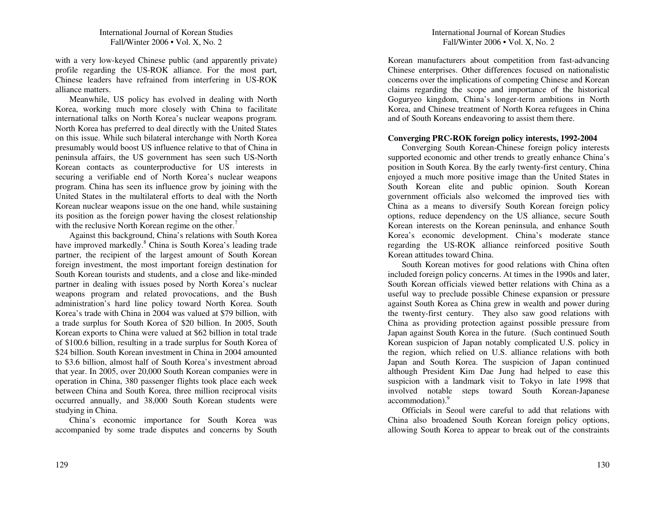with <sup>a</sup> very low-keyed Chinese public (and apparently private) profile regarding the US-ROK alliance. For the most part, Chinese leaders have refrained from interfering in US-ROK alliance matters.

Meanwhile, US policy has evolved in dealing with North Korea, working much more closely with China to facilitate international talks on North Korea's nuclear weapons program. North Korea has preferred to deal directly with the United States on this issue. While such bilateral interchange with North Korea presumably would boost US influence relative to that of China in peninsula affairs, the US governmen<sup>t</sup> has seen such US-North Korean contacts as counterproductive for US interests in securing <sup>a</sup> verifiable end of North Korea's nuclear weapons program. China has seen its influence grow by joining with the United States in the multilateral efforts to deal with the North Korean nuclear weapons issue on the one hand, while sustaining its position as the foreign power having the closest relationship with the reclusive North Korean regime on the other.<sup>7</sup>

Against this background, China's relations with South Korea have improved markedly.<sup>8</sup> China is South Korea's leading trade partner, the recipient of the largest amount of South Korean foreign investment, the most important foreign destination for South Korean tourists and students, and <sup>a</sup> close and like-minded partner in dealing with issues posed by North Korea's nuclear weapons program and related provocations, and the Bush administration's hard line policy toward North Korea. South Korea's trade with China in 2004 was valued at \$79 billion, with a trade surplus for South Korea of \$20 billion. In 2005, South Korean exports to China were valued at \$62 billion in total trade of \$100.6 billion, resulting in <sup>a</sup> trade surplus for South Korea of \$24 billion. South Korean investment in China in 2004 amounted to \$3.6 billion, almost half of South Korea's investment abroad that year. In 2005, over 20,000 South Korean companies were in operation in China, 380 passenger flights took place each week between China and South Korea, three million reciprocal visits occurred annually, and 38,000 South Korean students were studying in China.

China's economic importance for South Korea was accompanied by some trade disputes and concerns by South

# International Journal of Korean Studies Fall/Winter 2006 • Vol. X, No. 2

Korean manufacturers about competition from fast-advancing Chinese enterprises. Other differences focused on nationalistic concerns over the implications of competing Chinese and Korean claims regarding the scope and importance of the historical Goguryeo kingdom, China's longer-term ambitions in North Korea, and Chinese treatment of North Korea refugees in China and of South Koreans endeavoring to assist them there.

# **Converging PRC-ROK foreign policy interests, 1992-2004**

Converging South Korean-Chinese foreign policy interests supported economic and other trends to greatly enhance China's position in South Korea. By the early twenty-first century, China enjoyed <sup>a</sup> much more positive image than the United States in South Korean elite and public opinion. South Korean governmen<sup>t</sup> officials also welcomed the improved ties with China as a means to diversify South Korean foreign policy options, reduce dependency on the US alliance, secure South Korean interests on the Korean peninsula, and enhance South Korea's economic development. China's moderate stance regarding the US-ROK alliance reinforced positive South Korean attitudes toward China.

South Korean motives for good relations with China often included foreign policy concerns. At times in the 1990s and later, South Korean officials viewed better relations with China as <sup>a</sup> useful way to preclude possible Chinese expansion or pressure against South Korea as China grew in wealth and power during the twenty-first century. They also saw good relations with China as providing protection against possible pressure from Japan against South Korea in the future. (Such continued South Korean suspicion of Japan notably complicated U.S. policy in the region, which relied on U.S. alliance relations with both Japan and South Korea. The suspicion of Japan continued although President Kim Dae Jung had helped to ease this suspicion with <sup>a</sup> landmark visit to Tokyo in late 1998 that involved notable steps toward South Korean-Japanese accommodation).<sup>9</sup>

Officials in Seoul were careful to add that relations with China also broadened South Korean foreign policy options, allowing South Korea to appear to break out of the constraints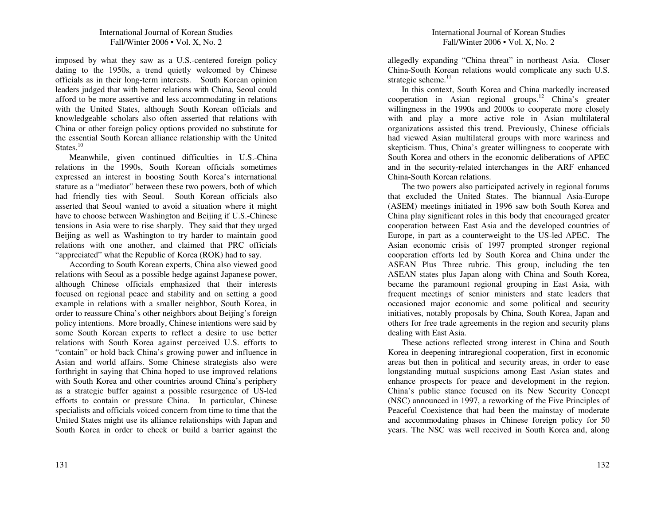imposed by what they saw as <sup>a</sup> U.S.-centered foreign policy dating to the 1950s, <sup>a</sup> trend quietly welcomed by Chinese officials as in their long-term interests. South Korean opinion leaders judged that with better relations with China, Seoul could afford to be more assertive and less accommodating in relations with the United States, although South Korean officials and knowledgeable scholars also often asserted that relations with China or other foreign policy options provided no substitute for the essential South Korean alliance relationship with the United States.<sup>10</sup>

Meanwhile, given continued difficulties in U.S.-China relations in the 1990s, South Korean officials sometimes expressed an interest in boosting South Korea's international stature as <sup>a</sup> "mediator" between these two powers, both of which had friendly ties with Seoul. South Korean officials also asserted that Seoul wanted to avoid <sup>a</sup> situation where it might have to choose between Washington and Beijing if U.S.-Chinese tensions in Asia were to rise sharply. They said that they urged Beijing as well as Washington to try harder to maintain good relations with one another, and claimed that PRC officials "appreciated" what the Republic of Korea (ROK) had to say.

According to South Korean experts, China also viewed good relations with Seoul as <sup>a</sup> possible hedge against Japanese power, although Chinese officials emphasized that their interests focused on regional peace and stability and on setting <sup>a</sup> good example in relations with <sup>a</sup> smaller neighbor, South Korea, in order to reassure China's other neighbors about Beijing's foreign policy intentions. More broadly, Chinese intentions were said by some South Korean experts to reflect <sup>a</sup> desire to use better relations with South Korea against perceived U.S. efforts to "contain" or hold back China's growing power and influence in Asian and world affairs. Some Chinese strategists also were forthright in saying that China hoped to use improved relations with South Korea and other countries around China's periphery as a strategic buffer against <sup>a</sup> possible resurgence of US-led efforts to contain or pressure China. In particular, Chinese specialists and officials voiced concern from time to time that the United States might use its alliance relationships with Japan and South Korea in order to check or build <sup>a</sup> barrier against the

allegedly expanding "China threat" in northeast Asia. Closer China-South Korean relations would complicate any such U.S. strategic scheme. $11$ 

In this context, South Korea and China markedly increased cooperation in Asian regional groups.<sup>12</sup> China's greater willingness in the 1990s and 2000s to cooperate more closely with and play <sup>a</sup> more active role in Asian multilateral organizations assisted this trend. Previously, Chinese officials had viewed Asian multilateral groups with more wariness and skepticism. Thus, China's greater willingness to cooperate with South Korea and others in the economic deliberations of APEC and in the security-related interchanges in the ARF enhanced China-South Korean relations.

The two powers also participated actively in regional forums that excluded the United States. The biannual Asia-Europe (ASEM) meetings initiated in 1996 saw both South Korea and China play significant roles in this body that encouraged greater cooperation between East Asia and the developed countries of Europe, in par<sup>t</sup> as <sup>a</sup> counterweight to the US-led APEC. The Asian economic crisis of 1997 prompted stronger regional cooperation efforts led by South Korea and China under the ASEAN Plus Three rubric. This group, including the ten ASEAN states plus Japan along with China and South Korea, became the paramoun<sup>t</sup> regional grouping in East Asia, with frequent meetings of senior ministers and state leaders that occasioned major economic and some political and security initiatives, notably proposals by China, South Korea, Japan and others for free trade agreements in the region and security plans dealing with East Asia.

These actions reflected strong interest in China and South Korea in deepening intraregional cooperation, first in economic areas but then in political and security areas, in order to ease longstanding mutual suspicions among East Asian states and enhance prospects for peace and development in the region. China's public stance focused on its New Security Concept (NSC) announced in 1997, <sup>a</sup> reworking of the Five Principles of Peaceful Coexistence that had been the mainstay of moderate and accommodating phases in Chinese foreign policy for 50 years. The NSC was well received in South Korea and, along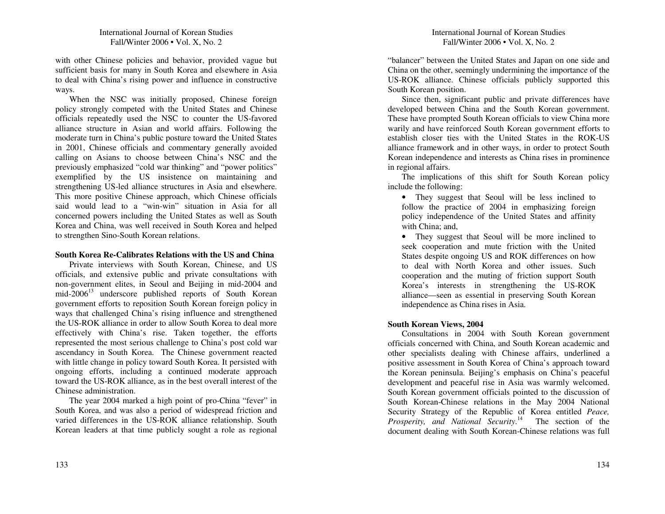with other C hinese policies an d behavior, provided vague b ut sufficient basis for man y in South Korea an d elsew here in Asia to deal with China's rising power an d influence in constructive ways.

When the NSC was initially proposed, Chinese foreign policy strongly competed with the United States and Chinese officials repeatedly used the N S C to cou nter the U S-favored alliance structure in Asian and world affairs. Following the moderate turn in C hina's p u blic posture toward the U nited States in2001, C hinese officials and commentary generally avoided calling on Asians to choose between C hina's N S C an d the previously emp hasized "cold war thin king" an d "power politics" exemplified by the U S insistence on maintaining an dstrengthening U S-led alliance structures in Asia an d elsew here. T his more positive C hinese ap proach, <sup>w</sup> hich C hinese officials said would lead to <sup>a</sup> "win-win" situation in Asia for all concerned powers inclu ding the U nited States as well as South Korea an d C hina, was well received in South Korea an d helped to strengthen Sino-South Korean relations.

### **SouthKoreaRe-Calibrates Relations with the USandChina**

Private interviews with South Korean, Chinese, and US officials, an d extensive p u blic an d private consultations with non-govern ment elites, in Seoul an d Beijing in mid-2 0 0 4 an d mid-2006<sup>13</sup> underscore published reports of South Korean govern ment efforts to reposition South Korean foreign policy in ways that challenged China's rising influence an d strengthened the US-ROK alliance in order to allow South Korea to deal more effectively with C hina's rise. Taken together, the efforts represented the most serious challenge to C hina's pos<sup>t</sup> cold war ascen dancy in South Korea. T he Chinese govern ment reacted with little change in policy toward South Korea. It persisted with ongoing efforts, inclu ding <sup>a</sup> contin ued moderate ap proach toward the US-ROK alliance, as in the best overall interest of the Chinese administration.

T he year 2 0 0 4 marked <sup>a</sup> high point of pro-C hina "fever" in South Korea, an d was also <sup>a</sup> period of widespread friction an d varied differences in the U S-R O K alliance relationship. South Korean leaders at that time p u blicly sought <sup>a</sup> role as regional

"balancer" between the U nited States an d Japan on one side an d C hina on the other, seemingly u n dermining the importance of the US-ROK alliance. C hinese officials p u blicly su p ported this South Korean position.

Since then, significant public and private differences have developed between China and the South Korean government. T hese have prompted South Korean officials to view C hina more warily an d have reinforced South Korean govern ment efforts to establish closer ties with the U nited States in the R O K-U S alliance framework an d in other ways, in order to protect South Korean in depen dence an d interests as C hina rises in prominence in regional affairs.

T he implications of this shift for South Korean policy inclu de the following:

• T hey sugges<sup>t</sup> that Seoul will be less inclined to follow the practice of 2004 in emphasizing foreign policy in depen dence of the U nited States an d affinity with China; an d,

• T hey sugges<sup>t</sup> that Seoul will be more inclined to seek cooperation an d mute friction with the U nited States despite ongoing US and ROK differences on how to deal with North Korea an d other issues. S uch cooperation an d the <sup>m</sup>uting of friction su p por<sup>t</sup> South Korea's interests in strengthening the U S-R O K alliance—seen as essential in preserving South Korean in depen dence as C hina rises in Asia.

# **S o uth Korea n Views, 2 0 0 4**

Consultations in 2 0 0 4 with South Korean govern ment officials concerned with China, and South Korean academic and other specialists dealing with C hinese affairs, <sup>u</sup> n derlined a positive assessment in South Korea of China's approach toward the Korean peninsula. Beijing's emp hasis on C hina's peaceful develop ment an d peaceful rise in Asia was warmly welcomed. South Korean govern ment officials pointed to the discussion of South Korean-Chinese relations in the May 2004 National Security Strategy of the Rep u blic of Korea entitled *Peace, Prosperity, and National Security.*<sup>14</sup> The section of the docu ment dealing with South Korean-C hinese relations was full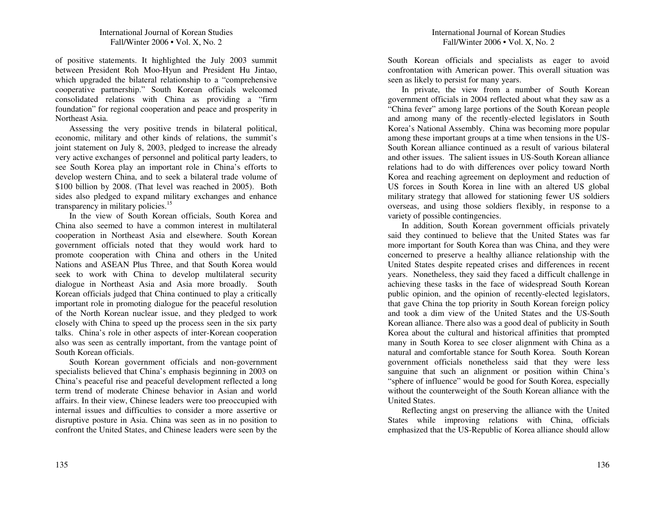of positive statements. It highlighted the July 2003 summit between President Roh Moo-Hyun and President Hu Jintao, which upgraded the bilateral relationship to <sup>a</sup> "comprehensive cooperative partnership." South Korean officials welcomed consolidated relations with China as providing <sup>a</sup> "firm foundation" for regional cooperation and peace and prosperity in Northeast Asia.

Assessing the very positive trends in bilateral political, economic, military and other kinds of relations, the summit's joint statement on July 8, 2003, pledged to increase the already very active exchanges of personnel and political party leaders, to see South Korea play an important role in China's efforts to develop western China, and to seek <sup>a</sup> bilateral trade volume of \$100 billion by 2008. (That level was reached in 2005). Both sides also pledged to expand military exchanges and enhance transparency in military policies.<sup>15</sup>

In the view of South Korean officials, South Korea and China also seemed to have <sup>a</sup> common interest in multilateral cooperation in Northeast Asia and elsewhere. South Korean governmen<sup>t</sup> officials noted that they would work hard to promote cooperation with China and others in the United Nations and ASEAN Plus Three, and that South Korea would seek to work with China to develop multilateral security dialogue in Northeast Asia and Asia more broadly. South Korean officials judged that China continued to play <sup>a</sup> critically important role in promoting dialogue for the peaceful resolution of the North Korean nuclear issue, and they pledged to work closely with China to speed up the process seen in the six party talks. China's role in other aspects of inter-Korean cooperation also was seen as centrally important, from the vantage point of South Korean officials.

South Korean governmen<sup>t</sup> officials and non-governmen<sup>t</sup> specialists believed that China's emphasis beginning in 2003 on China's peaceful rise and peaceful development reflected <sup>a</sup> long term trend of moderate Chinese behavior in Asian and world affairs. In their view, Chinese leaders were too preoccupied with internal issues and difficulties to consider <sup>a</sup> more assertive or disruptive posture in Asia. China was seen as in no position to confront the United States, and Chinese leaders were seen by the

South Korean officials and specialists as eager to avoid confrontation with American power. This overall situation was seen as likely to persist for many years.

In private, the view from <sup>a</sup> number of South Korean governmen<sup>t</sup> officials in 2004 reflected about what they saw as <sup>a</sup> "China fever" among large portions of the South Korean people and among many of the recently-elected legislators in South Korea's National Assembly. China was becoming more popular among these important groups at <sup>a</sup> time when tensions in the US-South Korean alliance continued as <sup>a</sup> result of various bilateral and other issues. The salient issues in US-South Korean alliance relations had to do with differences over policy toward North Korea and reaching agreemen<sup>t</sup> on deployment and reduction of US forces in South Korea in line with an altered US global military strategy that allowed for stationing fewer US soldiers overseas, and using those soldiers flexibly, in response to <sup>a</sup> variety of possible contingencies.

In addition, South Korean governmen<sup>t</sup> officials privately said they continued to believe that the United States was far more important for South Korea than was China, and they were concerned to preserve <sup>a</sup> healthy alliance relationship with the United States despite repeated crises and differences in recent years. Nonetheless, they said they faced <sup>a</sup> difficult challenge in achieving these tasks in the face of widespread South Korean public opinion, and the opinion of recently-elected legislators, that gave China the top priority in South Korean foreign policy and took <sup>a</sup> dim view of the United States and the US-South Korean alliance. There also was <sup>a</sup> good deal of publicity in South Korea about the cultural and historical affinities that prompted many in South Korea to see closer alignment with China as <sup>a</sup> natural and comfortable stance for South Korea. South Korean governmen<sup>t</sup> officials nonetheless said that they were less sanguine that such an alignment or position within China's "sphere of influence" would be good for South Korea, especially without the counterweight of the South Korean alliance with the United States.

Reflecting angs<sup>t</sup> on preserving the alliance with the United States while improving relations with China, officials emphasized that the US-Republic of Korea alliance should allow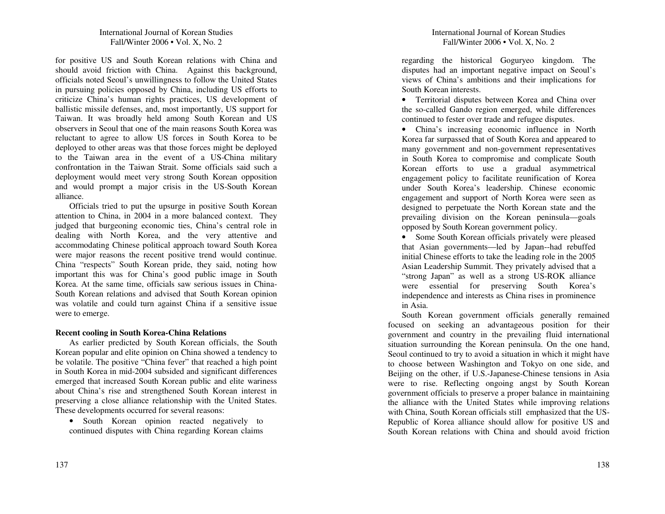for positive U S an d South Korean relations with C hina an d should avoid friction with China. Against this background, officials noted Seoul's u n willingness to follow the U nited States in p ursuing policies op posed b y C hina, inclu ding U S efforts to criticize China's h u man rights practices, U S develop ment of ballistic missile defenses, an d, most importantly, U S su p por<sup>t</sup> for Taiwan. It was broadly held among South Korean an d U S observers in Seoul that one of the main reasons South Korea was reluctant to agree to allow U S forces in South Korea to be deployed to other areas was that those forces might be deployed to the Taiwan area in the event of <sup>a</sup> U S-C hina military confrontation in the Taiwan Strait. Some officials said such <sup>a</sup> deploy ment would meet very strong South Korean op position an d would promp<sup>t</sup> <sup>a</sup> major crisis in the U S-South Korean alliance.

Officials tried to p ut the u psurge in positive South Korean attention to C hina, in 2 0 0 4 in <sup>a</sup> more balanced context. T hey ju dged that b urgeoning economic ties, C hina's central role in dealing with North Korea, an d the very attentive an d accommodating C hinese political ap proach toward South Korea were major reasons the recent positive trend would continue. C hina "respects" South Korean pride, they said, noting how important this was for C hina's good p u blic image in South Korea. At the same time, officials saw serious issues in C hina-South Korean relations an d ad vised that South Korean opinion was volatile an d could turn against C hina if <sup>a</sup> sensitive issue were to emerge.

# **Recent cooling in SouthKorea-ChinaRelations**

As earlier predicted b y South Korean officials, the South Korean pop ular an d elite opinion on China showed a ten dency to be volatile. T he positive "C hina fever" that reached <sup>a</sup> high point in South Korea in mid-2 0 0 4 su bsided an d significant differences emerged that increased South Korean p u blic an d elite wariness about C hina's rise an d strengthened South Korean interest in preserving <sup>a</sup> close alliance relationship with the U nited States. T hese develop ments occurred for several reasons:

• South Korean opinion reacted negatively to contin ued disp utes with C hina regarding Korean claims regarding the historical Goguryeo kingdom. T he disp utes had an important negative impact on Seoul's views of China's ambitions an d their implications for South Korean interests.

• Territorial disputes between Korea and China over the so-called Gan do region emerged, <sup>w</sup> hile differences contin ued to fester over trade an d refugee disp utes.

• China's increasing economic influence in NorthKorea far surpassed that of South Korea an d ap peared to many government and non-government representatives in South Korea to compromise an d complicate South Korean efforts to use <sup>a</sup> grad ual asy m metrical engagemen<sup>t</sup> policy to facilitate reu nification of Korea u n der South Korea's leadership. C hinese economic engagement an d su p por<sup>t</sup> of North Korea were seen as designed to perpetuate the North Korean state an d the prevailing division on the Korean peninsula—goals op posed b y South Korean govern ment policy.

• Some South Korean officials privately were pleased that Asian govern ments—led b y Japan--had reb uffed initial C hinese efforts to take the leading role in the 2 0 05 Asian Leadership S u m mit. T hey privately ad vised that <sup>a</sup> "strong Japan" as well as <sup>a</sup> strong U S-R O K alliance were essential for preserving South Korea's in depen dence an d interests as C hina rises in prominence in Asia.

South Korean govern ment officials generally remained focused on seeking an ad vantageous position for their govern ment an d cou ntry in the prevailing fluid international situation surrou n ding the Korean peninsula. O n the one han d, Seoul contin ued to try to avoid <sup>a</sup> situation in w hich it might have to choose between Washington an d Tok yo on one side, an d Beijing on the other, if U.S.-Japanese-C hinese tensions in Asia were to rise. Reflecting ongoing angs<sup>t</sup> b y South Korean govern ment officials to preserve <sup>a</sup> proper balance in maintaining the alliance with the U nited States w hile improving relations with C hina, South Korean officials still emp hasized that the U S-Rep u blic of Korea alliance should allow for positive U S an d South Korean relations with C hina an d should avoid friction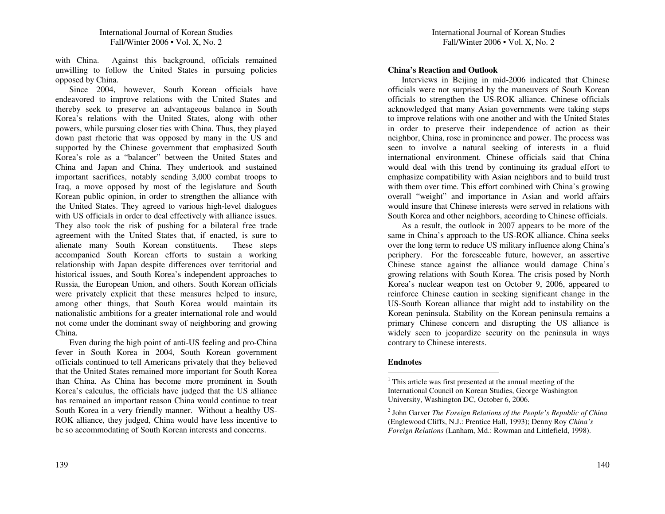with China. Against this background, officials remained unwilling to follow the United States in pursuing policies opposed by China.

Since 2004, however, South Korean officials have endeavored to improve relations with the United States and thereby seek to preserve an advantageous balance in South Korea's relations with the United States, along with other powers, while pursuing closer ties with China. Thus, they played down pas<sup>t</sup> rhetoric that was opposed by many in the US and supported by the Chinese governmen<sup>t</sup> that emphasized South Korea's role as <sup>a</sup> "balancer" between the United States and China and Japan and China. They undertook and sustained important sacrifices, notably sending 3,000 combat troops to Iraq, <sup>a</sup> move opposed by most of the legislature and South Korean public opinion, in order to strengthen the alliance with the United States. They agreed to various high-level dialogues with US officials in order to deal effectively with alliance issues. They also took the risk of pushing for <sup>a</sup> bilateral free trade agreemen<sup>t</sup> with the United States that, if enacted, is sure to alienate many South Korean constituents. These steps accompanied South Korean efforts to sustain <sup>a</sup> working relationship with Japan despite differences over territorial and historical issues, and South Korea's independent approaches to Russia, the European Union, and others. South Korean officials were privately explicit that these measures helped to insure, among other things, that South Korea would maintain its nationalistic ambitions for <sup>a</sup> greater international role and would not come under the dominant sway of neighboring and growing China.

Even during the high point of anti-US feeling and pro-China fever in South Korea in 2004, South Korean governmen<sup>t</sup> officials continued to tell Americans privately that they believed that the United States remained more important for South Korea than China. As China has become more prominent in South Korea's calculus, the officials have judged that the US alliance has remained an important reason China would continue to treat South Korea in <sup>a</sup> very friendly manner. Without <sup>a</sup> healthy US-ROK alliance, they judged, China would have less incentive to be so accommodating of South Korean interests and concerns.

#### **China's Reaction and Outlook**

Interviews in Beijing in mid-2006 indicated that Chinese officials were not surprised by the maneuvers of South Korean officials to strengthen the US-ROK alliance. Chinese officials acknowledged that many Asian governments were taking steps to improve relations with one another and with the United States in order to preserve their independence of action as their neighbor, China, rose in prominence and power. The process was seen to involve <sup>a</sup> natural seeking of interests in <sup>a</sup> fluid international environment. Chinese officials said that China would deal with this trend by continuing its gradual effort to emphasize compatibility with Asian neighbors and to build trust with them over time. This effort combined with China's growing overall "weight" and importance in Asian and world affairs would insure that Chinese interests were served in relations with South Korea and other neighbors, according to Chinese officials.

As a result, the outlook in 2007 appears to be more of the same in China's approach to the US-ROK alliance. China seeks over the long term to reduce US military influence along China's periphery. For the foreseeable future, however, an assertive Chinese stance against the alliance would damage China's growing relations with South Korea. The crisis posed by North Korea's nuclear weapon test on October 9, 2006, appeared to reinforce Chinese caution in seeking significant change in the US-South Korean alliance that might add to instability on the Korean peninsula. Stability on the Korean peninsula remains <sup>a</sup> primary Chinese concern and disrupting the US alliance is widely seen to jeopardize security on the peninsula in ways contrary to Chinese interests.

#### **Endnotes**

 $1$  This article was first presented at the annual meeting of the International Council on Korean Studies, George Washington University, Washington DC, October 6, 2006.

<sup>2</sup> John Garver *The Foreign Relations of the People's Republic of China* (Englewood Cliffs, N.J.: Prentice Hall, 1993); Denny Roy *China's Foreign Relations* (Lanham, Md.: Rowman and Littlefield, 1998).